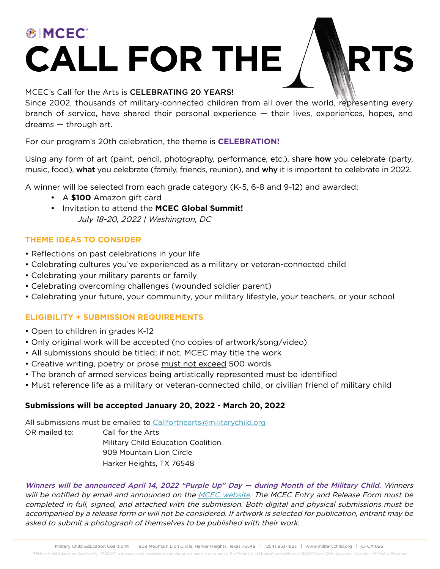# **®IMCEC® CALL FOR THE**

#### MCEC's Call for the Arts is CELEBRATING 20 YEARS!

Since 2002, thousands of military-connected children from all over the world, representing every branch of service, have shared their personal experience — their lives, experiences, hopes, and dreams — through art.

For our program's 20th celebration, the theme is **CELEBRATION!** 

Using any form of art (paint, pencil, photography, performance, etc.), share **how** you celebrate (party, music, food), what you celebrate (family, friends, reunion), and why it is important to celebrate in 2022.

A winner will be selected from each grade category (K-5, 6-8 and 9-12) and awarded:

- A **\$100** Amazon gift card
- **•** Invitation to attend the **MCEC Global Summit!** July 18-20, 2022 | Washington, DC

### **THEME IDEAS TO CONSIDER**

- Reflections on past celebrations in your life
- Celebrating cultures you've experienced as a military or veteran-connected child
- Celebrating your military parents or family
- Celebrating overcoming challenges (wounded soldier parent)
- Celebrating your future, your community, your military lifestyle, your teachers, or your school

### **ELIGIBILITY + SUBMISSION REQUIREMENTS**

- Open to children in grades K-12
- Only original work will be accepted (no copies of artwork/song/video)
- All submissions should be titled; if not, MCEC may title the work
- Creative writing, poetry or prose must not exceed 500 words
- The branch of armed services being artistically represented must be identified
- Must reference life as a military or veteran-connected child, or civilian friend of military child

### **Submissions will be accepted January 20, 2022 - March 20, 2022**

All submissions must be emailed to [Callforthearts@militarychild.org](mailto:Callforthearts%40militarychild.org?subject=)  OR mailed to: Call for the Arts Military Child Education Coalition 909 Mountain Lion Circle Harker Heights, TX 76548

Winners will be announced April 14, 2022 "Purple Up" Day — during Month of the Military Child. Winners will be notified by email and announced on the [MCEC website](http://www.militarychild.org). The MCEC Entry and Release Form must be completed in full, signed, and attached with the submission. Both digital and physical submissions must be accompanied by a release form or will not be considered. If artwork is selected for publication, entrant may be asked to submit a photograph of themselves to be published with their work.